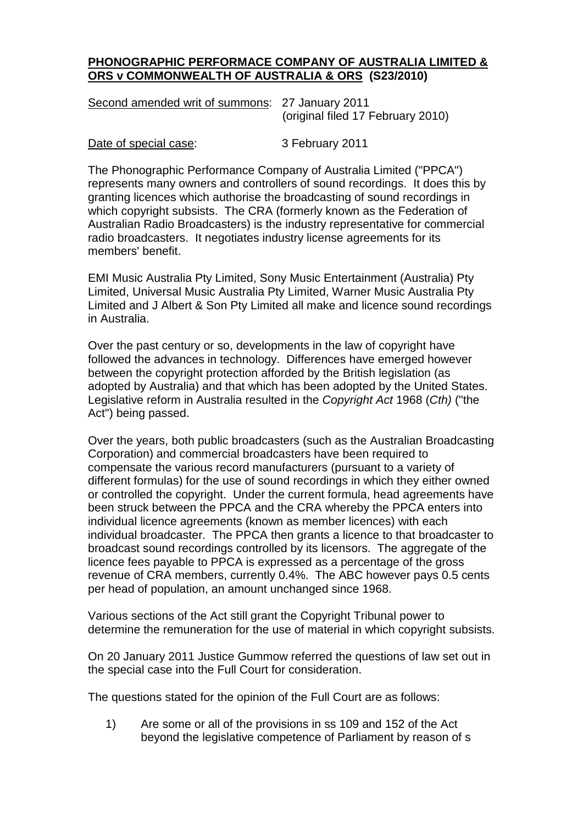## **PHONOGRAPHIC PERFORMACE COMPANY OF AUSTRALIA LIMITED & ORS v COMMONWEALTH OF AUSTRALIA & ORS (S23/2010)**

| Second amended writ of summons: 27 January 2011 |                                   |
|-------------------------------------------------|-----------------------------------|
|                                                 | (original filed 17 February 2010) |

Date of special case: 3 February 2011

The Phonographic Performance Company of Australia Limited ("PPCA") represents many owners and controllers of sound recordings. It does this by granting licences which authorise the broadcasting of sound recordings in which copyright subsists. The CRA (formerly known as the Federation of Australian Radio Broadcasters) is the industry representative for commercial radio broadcasters. It negotiates industry license agreements for its members' benefit.

EMI Music Australia Pty Limited, Sony Music Entertainment (Australia) Pty Limited, Universal Music Australia Pty Limited, Warner Music Australia Pty Limited and J Albert & Son Pty Limited all make and licence sound recordings in Australia.

Over the past century or so, developments in the law of copyright have followed the advances in technology. Differences have emerged however between the copyright protection afforded by the British legislation (as adopted by Australia) and that which has been adopted by the United States. Legislative reform in Australia resulted in the *Copyright Act* 1968 (*Cth)* ("the Act") being passed.

Over the years, both public broadcasters (such as the Australian Broadcasting Corporation) and commercial broadcasters have been required to compensate the various record manufacturers (pursuant to a variety of different formulas) for the use of sound recordings in which they either owned or controlled the copyright. Under the current formula, head agreements have been struck between the PPCA and the CRA whereby the PPCA enters into individual licence agreements (known as member licences) with each individual broadcaster. The PPCA then grants a licence to that broadcaster to broadcast sound recordings controlled by its licensors. The aggregate of the licence fees payable to PPCA is expressed as a percentage of the gross revenue of CRA members, currently 0.4%. The ABC however pays 0.5 cents per head of population, an amount unchanged since 1968.

Various sections of the Act still grant the Copyright Tribunal power to determine the remuneration for the use of material in which copyright subsists.

On 20 January 2011 Justice Gummow referred the questions of law set out in the special case into the Full Court for consideration.

The questions stated for the opinion of the Full Court are as follows:

1) Are some or all of the provisions in ss 109 and 152 of the Act beyond the legislative competence of Parliament by reason of s